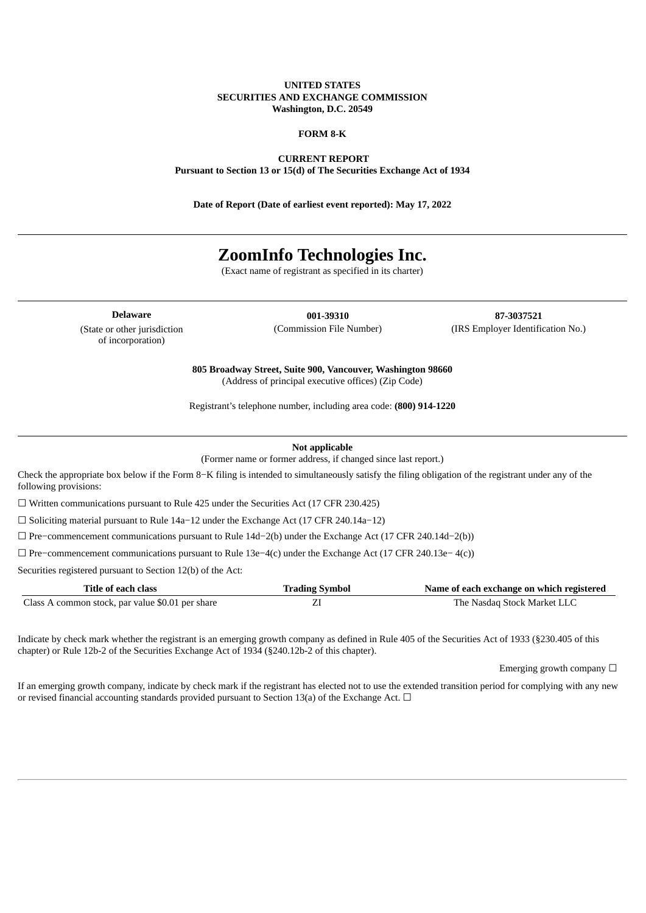#### **UNITED STATES SECURITIES AND EXCHANGE COMMISSION Washington, D.C. 20549**

#### **FORM 8-K**

**CURRENT REPORT**

**Pursuant to Section 13 or 15(d) of The Securities Exchange Act of 1934**

**Date of Report (Date of earliest event reported): May 17, 2022**

# **ZoomInfo Technologies Inc.**

(Exact name of registrant as specified in its charter)

(State or other jurisdiction of incorporation)

**Delaware 001-39310 87-3037521**

(Commission File Number) (IRS Employer Identification No.)

**805 Broadway Street, Suite 900, Vancouver, Washington 98660** (Address of principal executive offices) (Zip Code)

Registrant's telephone number, including area code: **(800) 914-1220**

**Not applicable**

(Former name or former address, if changed since last report.)

Check the appropriate box below if the Form 8−K filing is intended to simultaneously satisfy the filing obligation of the registrant under any of the following provisions:

☐ Written communications pursuant to Rule 425 under the Securities Act (17 CFR 230.425)

☐ Soliciting material pursuant to Rule 14a−12 under the Exchange Act (17 CFR 240.14a−12)

☐ Pre−commencement communications pursuant to Rule 14d−2(b) under the Exchange Act (17 CFR 240.14d−2(b))

☐ Pre−commencement communications pursuant to Rule 13e−4(c) under the Exchange Act (17 CFR 240.13e− 4(c))

Securities registered pursuant to Section 12(b) of the Act:

| Title of each class                              | <b>Trading Symbol</b> | Name of each exchange on which registered |
|--------------------------------------------------|-----------------------|-------------------------------------------|
| Class A common stock, par value \$0.01 per share |                       | The Nasdag Stock Market LLC               |

Indicate by check mark whether the registrant is an emerging growth company as defined in Rule 405 of the Securities Act of 1933 (§230.405 of this chapter) or Rule 12b-2 of the Securities Exchange Act of 1934 (§240.12b-2 of this chapter).

Emerging growth company  $\Box$ 

If an emerging growth company, indicate by check mark if the registrant has elected not to use the extended transition period for complying with any new or revised financial accounting standards provided pursuant to Section 13(a) of the Exchange Act.  $\Box$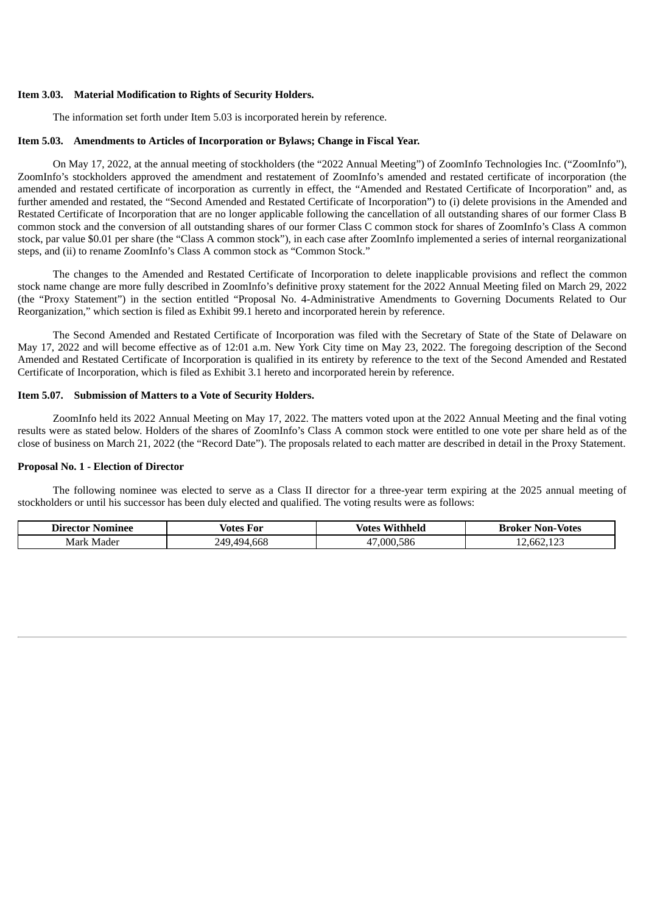#### **Item 3.03. Material Modification to Rights of Security Holders.**

The information set forth under Item 5.03 is incorporated herein by reference.

# **Item 5.03. Amendments to Articles of Incorporation or Bylaws; Change in Fiscal Year.**

On May 17, 2022, at the annual meeting of stockholders (the "2022 Annual Meeting") of ZoomInfo Technologies Inc. ("ZoomInfo"), ZoomInfo's stockholders approved the amendment and restatement of ZoomInfo's amended and restated certificate of incorporation (the amended and restated certificate of incorporation as currently in effect, the "Amended and Restated Certificate of Incorporation" and, as further amended and restated, the "Second Amended and Restated Certificate of Incorporation") to (i) delete provisions in the Amended and Restated Certificate of Incorporation that are no longer applicable following the cancellation of all outstanding shares of our former Class B common stock and the conversion of all outstanding shares of our former Class C common stock for shares of ZoomInfo's Class A common stock, par value \$0.01 per share (the "Class A common stock"), in each case after ZoomInfo implemented a series of internal reorganizational steps, and (ii) to rename ZoomInfo's Class A common stock as "Common Stock."

The changes to the Amended and Restated Certificate of Incorporation to delete inapplicable provisions and reflect the common stock name change are more fully described in ZoomInfo's definitive proxy statement for the 2022 Annual Meeting filed on March 29, 2022 (the "Proxy Statement") in the section entitled "Proposal No. 4-Administrative Amendments to Governing Documents Related to Our Reorganization," which section is filed as Exhibit 99.1 hereto and incorporated herein by reference.

The Second Amended and Restated Certificate of Incorporation was filed with the Secretary of State of the State of Delaware on May 17, 2022 and will become effective as of 12:01 a.m. New York City time on May 23, 2022. The foregoing description of the Second Amended and Restated Certificate of Incorporation is qualified in its entirety by reference to the text of the Second Amended and Restated Certificate of Incorporation, which is filed as Exhibit 3.1 hereto and incorporated herein by reference.

# **Item 5.07. Submission of Matters to a Vote of Security Holders.**

ZoomInfo held its 2022 Annual Meeting on May 17, 2022. The matters voted upon at the 2022 Annual Meeting and the final voting results were as stated below. Holders of the shares of ZoomInfo's Class A common stock were entitled to one vote per share held as of the close of business on March 21, 2022 (the "Record Date"). The proposals related to each matter are described in detail in the Proxy Statement.

# **Proposal No. 1 - Election of Director**

The following nominee was elected to serve as a Class II director for a three-year term expiring at the 2025 annual meeting of stockholders or until his successor has been duly elected and qualified. The voting results were as follows:

| $\sim$<br>Nommee<br>Dırector | vatec<br>For                                          | Votes<br>Withheld | Votes<br>Broker<br>Non                            |
|------------------------------|-------------------------------------------------------|-------------------|---------------------------------------------------|
| Mader<br>Mark                | $\sim$<br>$\Delta C$<br>$\Lambda$ Q $\Lambda$<br>.bbc | .000.586          | $\sim$<br>$\sim$ $\sim$<br>ht<br>14.004.14J<br>__ |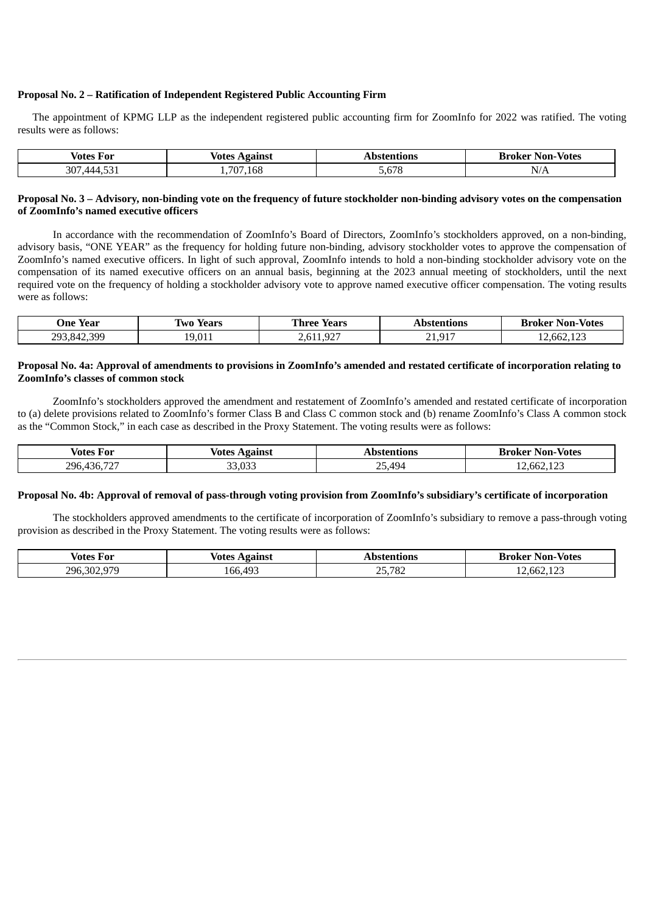# **Proposal No. 2 – Ratification of Independent Registered Public Accounting Firm**

The appointment of KPMG LLP as the independent registered public accounting firm for ZoomInfo for 2022 was ratified. The voting results were as follows:

| √otes                                                                      | Votes                  | tions       | <b>Non-Votes</b>                                                             |
|----------------------------------------------------------------------------|------------------------|-------------|------------------------------------------------------------------------------|
| For                                                                        | Against                |             | Kroker                                                                       |
| 30.<br>$-1$<br>$\Delta \Delta \Delta$<br>the control of the control of the | 707<br>$^{\prime}.168$ | $\sim$<br>. | - - -<br>NJ.<br>1 V / L 7<br>the contract of the contract of the contract of |

# Proposal No. 3 – Advisory, non-binding vote on the frequency of future stockholder non-binding advisory votes on the compensation **of ZoomInfo's named executive officers**

In accordance with the recommendation of ZoomInfo's Board of Directors, ZoomInfo's stockholders approved, on a non-binding, advisory basis, "ONE YEAR" as the frequency for holding future non-binding, advisory stockholder votes to approve the compensation of ZoomInfo's named executive officers. In light of such approval, ZoomInfo intends to hold a non-binding stockholder advisory vote on the compensation of its named executive officers on an annual basis, beginning at the 2023 annual meeting of stockholders, until the next required vote on the frequency of holding a stockholder advisory vote to approve named executive officer compensation. The voting results were as follows:

| Jne<br>Year                        | œ<br>Years<br>l wo                      | m<br>Years<br>'hree                    | <b>\bstentions</b>          | <b>Non-Votes</b><br>Broker                                                |
|------------------------------------|-----------------------------------------|----------------------------------------|-----------------------------|---------------------------------------------------------------------------|
| 842399<br>วดว<br>… ت ت ∠<br>т∠.∪ЈЈ | $\ddot{\phantom{1}}$<br>1.011<br>19,011 | $\Omega$<br>ь.<br>$\cdot$<br>4. UII.JA | Q17<br>$\sim$ 4<br><u>.</u> | 100<br>$\sim$ $\sim$ $\sim$<br>12.662.123<br>and the contract of the con- |

# Proposal No. 4a: Approval of amendments to provisions in ZoomInfo's amended and restated certificate of incorporation relating to **ZoomInfo's classes of common stock**

ZoomInfo's stockholders approved the amendment and restatement of ZoomInfo's amended and restated certificate of incorporation to (a) delete provisions related to ZoomInfo's former Class B and Class C common stock and (b) rename ZoomInfo's Class A common stock as the "Common Stock," in each case as described in the Proxy Statement. The voting results were as follows:

| For<br>Votac                  | $ -$<br>Votes<br>rgainst | ıons                          | <b>Non-Votes</b><br>Broker                                 |
|-------------------------------|--------------------------|-------------------------------|------------------------------------------------------------|
| ---<br>296.<br>436<br>-<br>-- | 33,033                   | $\sim$ $-$<br>494<br>᠇<br>--- | $\sim$ $\sim$ $\sim$<br>$\sim$ $\sim$<br>12,002,123<br>, – |

#### Proposal No. 4b: Approval of removal of pass-through voting provision from ZoomInfo's subsidiary's certificate of incorporation

The stockholders approved amendments to the certificate of incorporation of ZoomInfo's subsidiary to remove a pass-through voting provision as described in the Proxy Statement. The voting results were as follows:

| Votes<br>For                        | votes<br>Agaınst                                    | ıons                                 | –<br>-Votes<br>Non-<br>Kroker         |
|-------------------------------------|-----------------------------------------------------|--------------------------------------|---------------------------------------|
| $\sim$<br>296.<br>$^{\circ}$ 302.5, | 10 <sup>7</sup><br>$\sim$<br>.bt<br>$\Delta$<br>サシー | $\sim$ $-$<br>782<br>، . ب<br>$\sim$ | $\sim$<br>100<br>$\sim$<br>12.662.123 |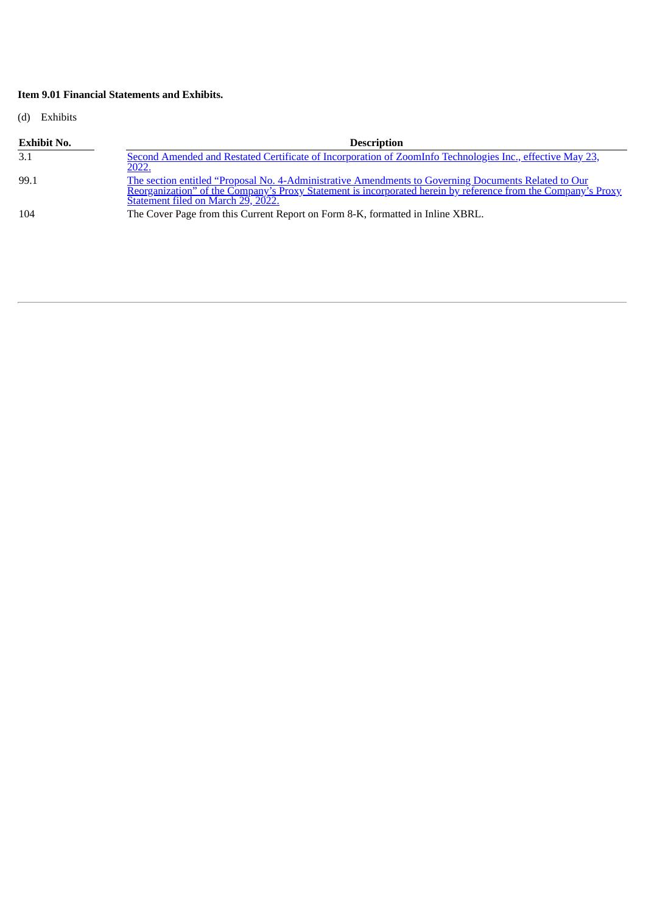# **Item 9.01 Financial Statements and Exhibits.**

| (d) | Exhibits |
|-----|----------|
|-----|----------|

| Exhibit No. | <b>Description</b>                                                                                                                                                                                                                                          |
|-------------|-------------------------------------------------------------------------------------------------------------------------------------------------------------------------------------------------------------------------------------------------------------|
| 3.1         | Second Amended and Restated Certificate of Incorporation of ZoomInfo Technologies Inc., effective May 23,<br>2022.                                                                                                                                          |
| 99.1        | The section entitled "Proposal No. 4-Administrative Amendments to Governing Documents Related to Our<br>Reorganization" of the Company's Proxy Statement is incorporated herein by reference from the Company's Proxy<br>Statement filed on March 29, 2022. |
| 104         | The Cover Page from this Current Report on Form 8-K, formatted in Inline XBRL.                                                                                                                                                                              |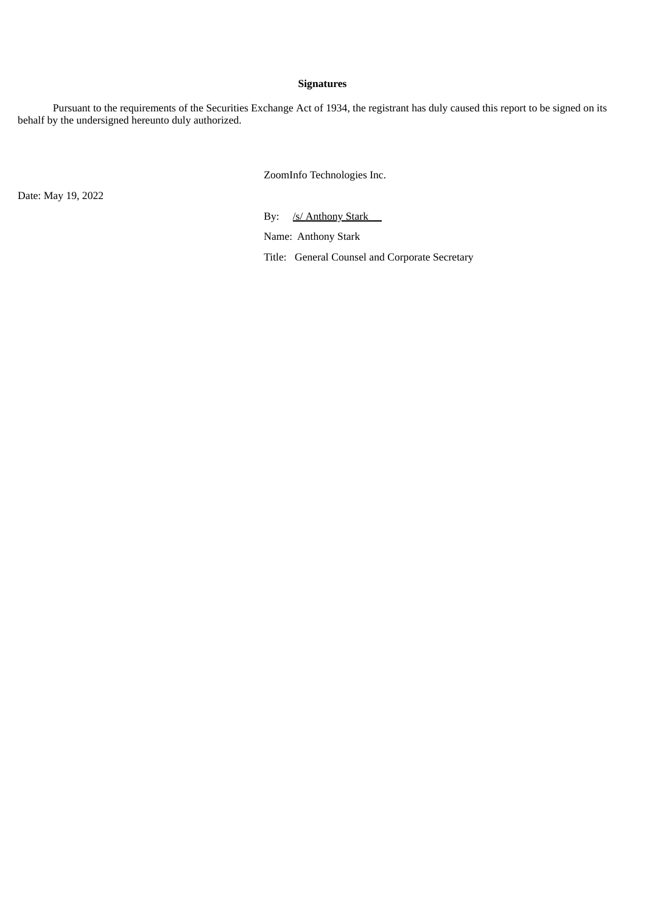# **Signatures**

Pursuant to the requirements of the Securities Exchange Act of 1934, the registrant has duly caused this report to be signed on its behalf by the undersigned hereunto duly authorized.

ZoomInfo Technologies Inc.

Date: May 19, 2022

By: /s/ Anthony Stark

Name: Anthony Stark

Title: General Counsel and Corporate Secretary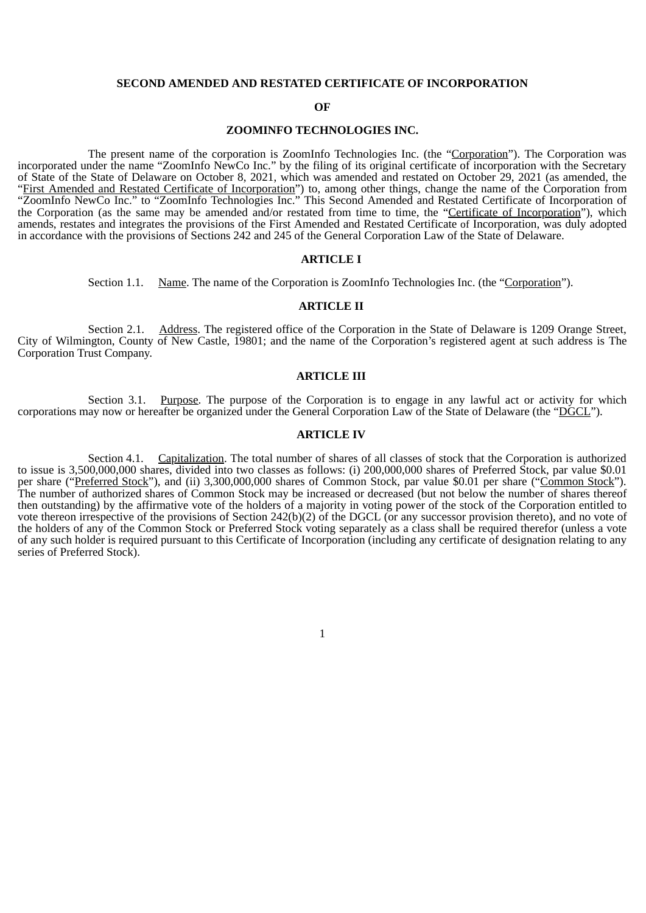#### <span id="page-5-0"></span>**SECOND AMENDED AND RESTATED CERTIFICATE OF INCORPORATION**

**OF**

# **ZOOMINFO TECHNOLOGIES INC.**

The present name of the corporation is ZoomInfo Technologies Inc. (the "Corporation"). The Corporation was incorporated under the name "ZoomInfo NewCo Inc." by the filing of its original certificate of incorporation with the Secretary of State of the State of Delaware on October 8, 2021, which was amended and restated on October 29, 2021 (as amended, the "First Amended and Restated Certificate of Incorporation") to, among other things, change the name of the Corporation from "ZoomInfo NewCo Inc." to "ZoomInfo Technologies Inc." This Second Amended and Restated Certificate of Incorporation of the Corporation (as the same may be amended and/or restated from time to time, the "Certificate of Incorporation"), which amends, restates and integrates the provisions of the First Amended and Restated Certificate of Incorporation, was duly adopted in accordance with the provisions of Sections 242 and 245 of the General Corporation Law of the State of Delaware.

# **ARTICLE I**

Section 1.1. Name. The name of the Corporation is ZoomInfo Technologies Inc. (the "Corporation").

#### **ARTICLE II**

Section 2.1. Address. The registered office of the Corporation in the State of Delaware is 1209 Orange Street, City of Wilmington, County of New Castle, 19801; and the name of the Corporation's registered agent at such address is The Corporation Trust Company.

#### **ARTICLE III**

Section 3.1. Purpose. The purpose of the Corporation is to engage in any lawful act or activity for which corporations may now or hereafter be organized under the General Corporation Law of the State of Delaware (the "DGCL").

#### **ARTICLE IV**

Section 4.1. Capitalization. The total number of shares of all classes of stock that the Corporation is authorized to issue is 3,500,000,000 shares, divided into two classes as follows: (i) 200,000,000 shares of Preferred Stock, par value \$0.01 per share ("Preferred Stock"), and (ii) 3,300,000,000 shares of Common Stock, par value \$0.01 per share ("Common Stock"). The number of authorized shares of Common Stock may be increased or decreased (but not below the number of shares thereof then outstanding) by the affirmative vote of the holders of a majority in voting power of the stock of the Corporation entitled to vote thereon irrespective of the provisions of Section 242(b)(2) of the DGCL (or any successor provision thereto), and no vote of the holders of any of the Common Stock or Preferred Stock voting separately as a class shall be required therefor (unless a vote of any such holder is required pursuant to this Certificate of Incorporation (including any certificate of designation relating to any series of Preferred Stock).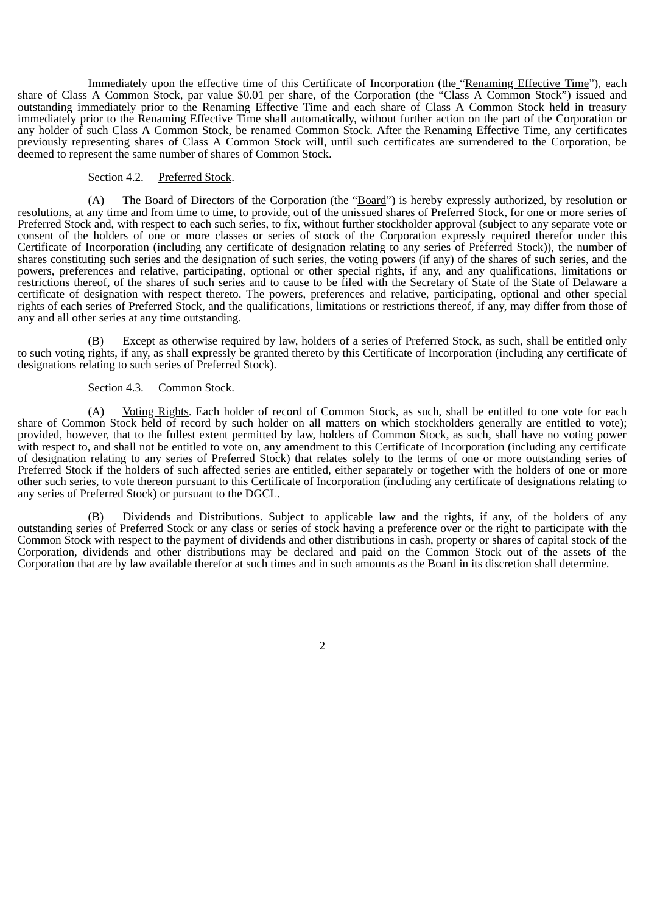Immediately upon the effective time of this Certificate of Incorporation (the "Renaming Effective Time"), each share of Class A Common Stock, par value \$0.01 per share, of the Corporation (the "Class A Common Stock") issued and outstanding immediately prior to the Renaming Effective Time and each share of Class A Common Stock held in treasury immediately prior to the Renaming Effective Time shall automatically, without further action on the part of the Corporation or any holder of such Class A Common Stock, be renamed Common Stock. After the Renaming Effective Time, any certificates previously representing shares of Class A Common Stock will, until such certificates are surrendered to the Corporation, be deemed to represent the same number of shares of Common Stock.

# Section 4.2. Preferred Stock.

(A) The Board of Directors of the Corporation (the "Board") is hereby expressly authorized, by resolution or resolutions, at any time and from time to time, to provide, out of the unissued shares of Preferred Stock, for one or more series of Preferred Stock and, with respect to each such series, to fix, without further stockholder approval (subject to any separate vote or consent of the holders of one or more classes or series of stock of the Corporation expressly required therefor under this Certificate of Incorporation (including any certificate of designation relating to any series of Preferred Stock)), the number of shares constituting such series and the designation of such series, the voting powers (if any) of the shares of such series, and the powers, preferences and relative, participating, optional or other special rights, if any, and any qualifications, limitations or restrictions thereof, of the shares of such series and to cause to be filed with the Secretary of State of the State of Delaware a certificate of designation with respect thereto. The powers, preferences and relative, participating, optional and other special rights of each series of Preferred Stock, and the qualifications, limitations or restrictions thereof, if any, may differ from those of any and all other series at any time outstanding.

(B) Except as otherwise required by law, holders of a series of Preferred Stock, as such, shall be entitled only to such voting rights, if any, as shall expressly be granted thereto by this Certificate of Incorporation (including any certificate of designations relating to such series of Preferred Stock).

## Section 4.3. Common Stock.

(A) Voting Rights. Each holder of record of Common Stock, as such, shall be entitled to one vote for each share of Common Stock held of record by such holder on all matters on which stockholders generally are entitled to vote); provided, however, that to the fullest extent permitted by law, holders of Common Stock, as such, shall have no voting power with respect to, and shall not be entitled to vote on, any amendment to this Certificate of Incorporation (including any certificate of designation relating to any series of Preferred Stock) that relates solely to the terms of one or more outstanding series of Preferred Stock if the holders of such affected series are entitled, either separately or together with the holders of one or more other such series, to vote thereon pursuant to this Certificate of Incorporation (including any certificate of designations relating to any series of Preferred Stock) or pursuant to the DGCL.

(B) Dividends and Distributions. Subject to applicable law and the rights, if any, of the holders of any outstanding series of Preferred Stock or any class or series of stock having a preference over or the right to participate with the Common Stock with respect to the payment of dividends and other distributions in cash, property or shares of capital stock of the Corporation, dividends and other distributions may be declared and paid on the Common Stock out of the assets of the Corporation that are by law available therefor at such times and in such amounts as the Board in its discretion shall determine.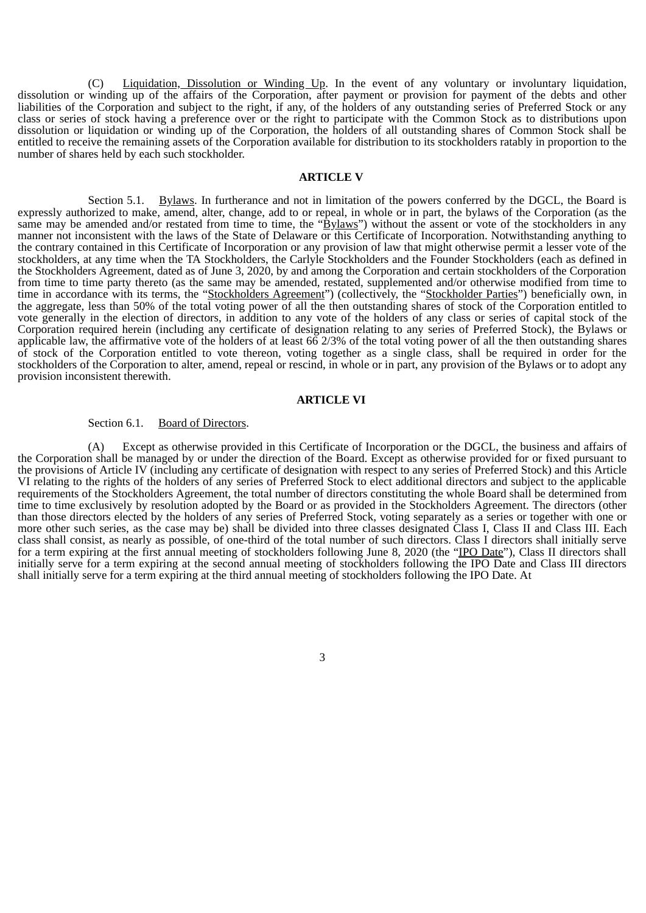(C) Liquidation, Dissolution or Winding Up. In the event of any voluntary or involuntary liquidation, dissolution or winding up of the affairs of the Corporation, after payment or provision for payment of the debts and other liabilities of the Corporation and subject to the right, if any, of the holders of any outstanding series of Preferred Stock or any class or series of stock having a preference over or the right to participate with the Common Stock as to distributions upon dissolution or liquidation or winding up of the Corporation, the holders of all outstanding shares of Common Stock shall be entitled to receive the remaining assets of the Corporation available for distribution to its stockholders ratably in proportion to the number of shares held by each such stockholder.

# **ARTICLE V**

Section 5.1. Bylaws. In furtherance and not in limitation of the powers conferred by the DGCL, the Board is expressly authorized to make, amend, alter, change, add to or repeal, in whole or in part, the bylaws of the Corporation (as the same may be amended and/or restated from time to time, the "Bylaws") without the assent or vote of the stockholders in any manner not inconsistent with the laws of the State of Delaware or this Certificate of Incorporation. Notwithstanding anything to the contrary contained in this Certificate of Incorporation or any provision of law that might otherwise permit a lesser vote of the stockholders, at any time when the TA Stockholders, the Carlyle Stockholders and the Founder Stockholders (each as defined in the Stockholders Agreement, dated as of June 3, 2020, by and among the Corporation and certain stockholders of the Corporation from time to time party thereto (as the same may be amended, restated, supplemented and/or otherwise modified from time to time in accordance with its terms, the "Stockholders Agreement") (collectively, the "Stockholder Parties") beneficially own, in the aggregate, less than 50% of the total voting power of all the then outstanding shares of stock of the Corporation entitled to vote generally in the election of directors, in addition to any vote of the holders of any class or series of capital stock of the Corporation required herein (including any certificate of designation relating to any series of Preferred Stock), the Bylaws or applicable law, the affirmative vote of the holders of at least 66 2/3% of the total voting power of all the then outstanding shares of stock of the Corporation entitled to vote thereon, voting together as a single class, shall be required in order for the stockholders of the Corporation to alter, amend, repeal or rescind, in whole or in part, any provision of the Bylaws or to adopt any provision inconsistent therewith.

#### **ARTICLE VI**

# Section 6.1. Board of Directors.

(A) Except as otherwise provided in this Certificate of Incorporation or the DGCL, the business and affairs of the Corporation shall be managed by or under the direction of the Board. Except as otherwise provided for or fixed pursuant to the provisions of Article IV (including any certificate of designation with respect to any series of Preferred Stock) and this Article VI relating to the rights of the holders of any series of Preferred Stock to elect additional directors and subject to the applicable requirements of the Stockholders Agreement, the total number of directors constituting the whole Board shall be determined from time to time exclusively by resolution adopted by the Board or as provided in the Stockholders Agreement. The directors (other than those directors elected by the holders of any series of Preferred Stock, voting separately as a series or together with one or more other such series, as the case may be) shall be divided into three classes designated Class I, Class II and Class III. Each class shall consist, as nearly as possible, of one-third of the total number of such directors. Class I directors shall initially serve for a term expiring at the first annual meeting of stockholders following June 8, 2020 (the "IPO Date"), Class II directors shall initially serve for a term expiring at the second annual meeting of stockholders following the IPO Date and Class III directors shall initially serve for a term expiring at the third annual meeting of stockholders following the IPO Date. At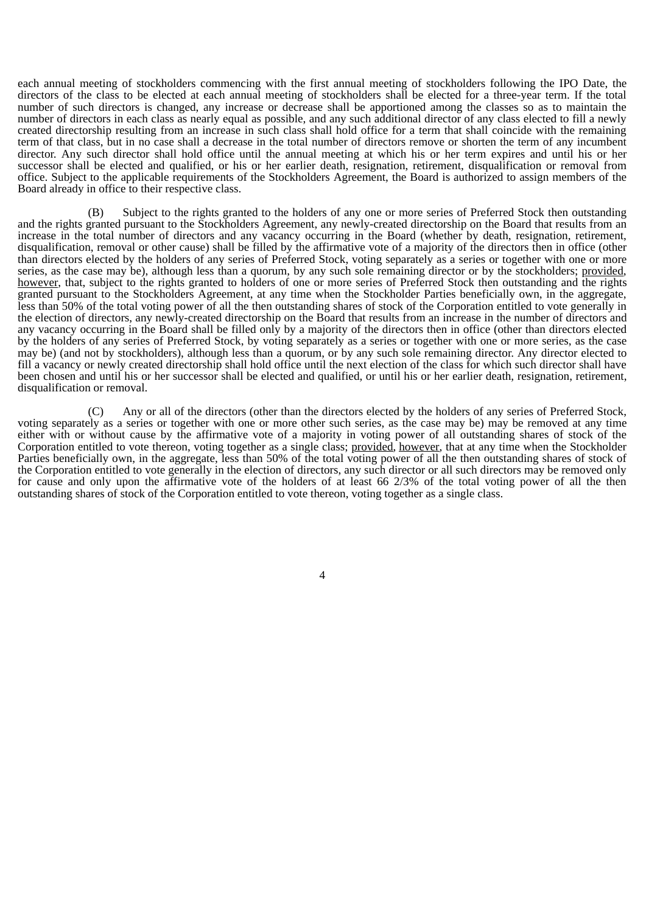each annual meeting of stockholders commencing with the first annual meeting of stockholders following the IPO Date, the directors of the class to be elected at each annual meeting of stockholders shall be elected for a three-year term. If the total number of such directors is changed, any increase or decrease shall be apportioned among the classes so as to maintain the number of directors in each class as nearly equal as possible, and any such additional director of any class elected to fill a newly created directorship resulting from an increase in such class shall hold office for a term that shall coincide with the remaining term of that class, but in no case shall a decrease in the total number of directors remove or shorten the term of any incumbent director. Any such director shall hold office until the annual meeting at which his or her term expires and until his or her successor shall be elected and qualified, or his or her earlier death, resignation, retirement, disqualification or removal from office. Subject to the applicable requirements of the Stockholders Agreement, the Board is authorized to assign members of the Board already in office to their respective class.

(B) Subject to the rights granted to the holders of any one or more series of Preferred Stock then outstanding and the rights granted pursuant to the Stockholders Agreement, any newly-created directorship on the Board that results from an increase in the total number of directors and any vacancy occurring in the Board (whether by death, resignation, retirement, disqualification, removal or other cause) shall be filled by the affirmative vote of a majority of the directors then in office (other than directors elected by the holders of any series of Preferred Stock, voting separately as a series or together with one or more series, as the case may be), although less than a quorum, by any such sole remaining director or by the stockholders; provided, however, that, subject to the rights granted to holders of one or more series of Preferred Stock then outstanding and the rights granted pursuant to the Stockholders Agreement, at any time when the Stockholder Parties beneficially own, in the aggregate, less than 50% of the total voting power of all the then outstanding shares of stock of the Corporation entitled to vote generally in the election of directors, any newly-created directorship on the Board that results from an increase in the number of directors and any vacancy occurring in the Board shall be filled only by a majority of the directors then in office (other than directors elected by the holders of any series of Preferred Stock, by voting separately as a series or together with one or more series, as the case may be) (and not by stockholders), although less than a quorum, or by any such sole remaining director. Any director elected to fill a vacancy or newly created directorship shall hold office until the next election of the class for which such director shall have been chosen and until his or her successor shall be elected and qualified, or until his or her earlier death, resignation, retirement, disqualification or removal.

(C) Any or all of the directors (other than the directors elected by the holders of any series of Preferred Stock, voting separately as a series or together with one or more other such series, as the case may be) may be removed at any time either with or without cause by the affirmative vote of a majority in voting power of all outstanding shares of stock of the Corporation entitled to vote thereon, voting together as a single class; provided, however, that at any time when the Stockholder Parties beneficially own, in the aggregate, less than 50% of the total voting power of all the then outstanding shares of stock of the Corporation entitled to vote generally in the election of directors, any such director or all such directors may be removed only for cause and only upon the affirmative vote of the holders of at least 66 2/3% of the total voting power of all the then outstanding shares of stock of the Corporation entitled to vote thereon, voting together as a single class.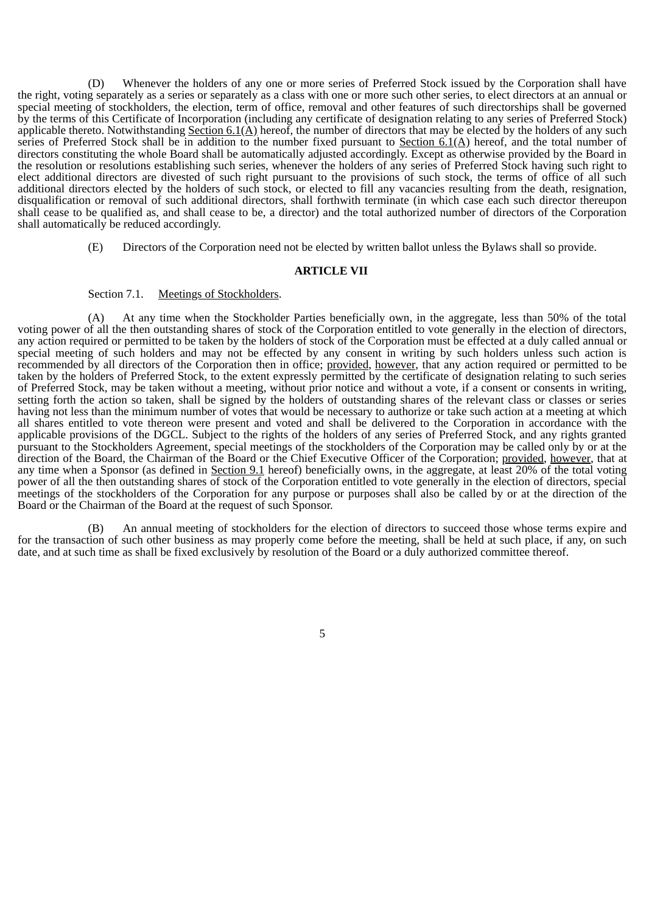(D) Whenever the holders of any one or more series of Preferred Stock issued by the Corporation shall have the right, voting separately as a series or separately as a class with one or more such other series, to elect directors at an annual or special meeting of stockholders, the election, term of office, removal and other features of such directorships shall be governed by the terms of this Certificate of Incorporation (including any certificate of designation relating to any series of Preferred Stock) applicable thereto. Notwithstanding Section  $6.1(\underline{A})$  hereof, the number of directors that may be elected by the holders of any such series of Preferred Stock shall be in addition to the number fixed pursuant to Section 6.1(A) hereof, and the total number of directors constituting the whole Board shall be automatically adjusted accordingly. Except as otherwise provided by the Board in the resolution or resolutions establishing such series, whenever the holders of any series of Preferred Stock having such right to elect additional directors are divested of such right pursuant to the provisions of such stock, the terms of office of all such additional directors elected by the holders of such stock, or elected to fill any vacancies resulting from the death, resignation, disqualification or removal of such additional directors, shall forthwith terminate (in which case each such director thereupon shall cease to be qualified as, and shall cease to be, a director) and the total authorized number of directors of the Corporation shall automatically be reduced accordingly.

(E) Directors of the Corporation need not be elected by written ballot unless the Bylaws shall so provide.

## **ARTICLE VII**

#### Section 7.1. Meetings of Stockholders.

(A) At any time when the Stockholder Parties beneficially own, in the aggregate, less than 50% of the total voting power of all the then outstanding shares of stock of the Corporation entitled to vote generally in the election of directors, any action required or permitted to be taken by the holders of stock of the Corporation must be effected at a duly called annual or special meeting of such holders and may not be effected by any consent in writing by such holders unless such action is recommended by all directors of the Corporation then in office; provided, however, that any action required or permitted to be taken by the holders of Preferred Stock, to the extent expressly permitted by the certificate of designation relating to such series of Preferred Stock, may be taken without a meeting, without prior notice and without a vote, if a consent or consents in writing, setting forth the action so taken, shall be signed by the holders of outstanding shares of the relevant class or classes or series having not less than the minimum number of votes that would be necessary to authorize or take such action at a meeting at which all shares entitled to vote thereon were present and voted and shall be delivered to the Corporation in accordance with the applicable provisions of the DGCL. Subject to the rights of the holders of any series of Preferred Stock, and any rights granted pursuant to the Stockholders Agreement, special meetings of the stockholders of the Corporation may be called only by or at the direction of the Board, the Chairman of the Board or the Chief Executive Officer of the Corporation; provided, however, that at any time when a Sponsor (as defined in Section 9.1 hereof) beneficially owns, in the aggregate, at least 20% of the total voting power of all the then outstanding shares of stock of the Corporation entitled to vote generally in the election of directors, special meetings of the stockholders of the Corporation for any purpose or purposes shall also be called by or at the direction of the Board or the Chairman of the Board at the request of such Sponsor.

(B) An annual meeting of stockholders for the election of directors to succeed those whose terms expire and for the transaction of such other business as may properly come before the meeting, shall be held at such place, if any, on such date, and at such time as shall be fixed exclusively by resolution of the Board or a duly authorized committee thereof.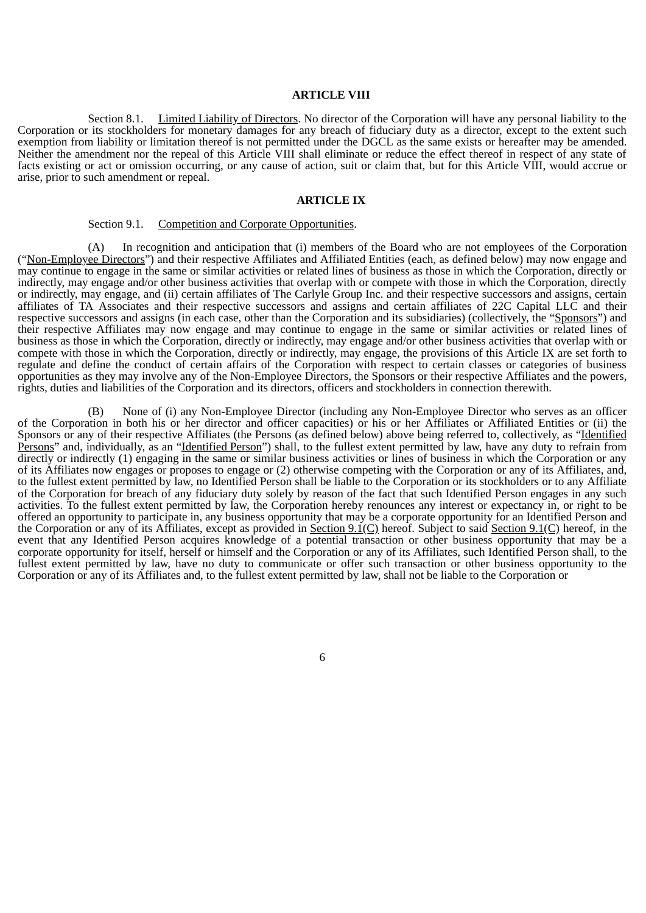## **ARTICLE VIII**

Section 8.1. Limited Liability of Directors. No director of the Corporation will have any personal liability to the Corporation or its stockholders for monetary damages for any breach of fiduciary duty as a director, except to the extent such exemption from liability or limitation thereof is not permitted under the DGCL as the same exists or hereafter may be amended. Neither the amendment nor the repeal of this Article VIII shall eliminate or reduce the effect thereof in respect of any state of facts existing or act or omission occurring, or any cause of action, suit or claim that, but for this Article VIII, would accrue or arise, prior to such amendment or repeal.

#### **ARTICLE IX**

# Section 9.1. Competition and Corporate Opportunities.

(A) In recognition and anticipation that (i) members of the Board who are not employees of the Corporation ("Non-Employee Directors") and their respective Affiliates and Affiliated Entities (each, as defined below) may now engage and may continue to engage in the same or similar activities or related lines of business as those in which the Corporation, directly or indirectly, may engage and/or other business activities that overlap with or compete with those in which the Corporation, directly or indirectly, may engage, and (ii) certain affiliates of The Carlyle Group Inc. and their respective successors and assigns, certain affiliates of TA Associates and their respective successors and assigns and certain affiliates of 22C Capital LLC and their respective successors and assigns (in each case, other than the Corporation and its subsidiaries) (collectively, the "Sponsors") and their respective Affiliates may now engage and may continue to engage in the same or similar activities or related lines of business as those in which the Corporation, directly or indirectly, may engage and/or other business activities that overlap with or compete with those in which the Corporation, directly or indirectly, may engage, the provisions of this Article IX are set forth to regulate and define the conduct of certain affairs of the Corporation with respect to certain classes or categories of business opportunities as they may involve any of the Non-Employee Directors, the Sponsors or their respective Affiliates and the powers, rights, duties and liabilities of the Corporation and its directors, officers and stockholders in connection therewith.

(B) None of (i) any Non-Employee Director (including any Non-Employee Director who serves as an officer of the Corporation in both his or her director and officer capacities) or his or her Affiliates or Affiliated Entities or (ii) the Sponsors or any of their respective Affiliates (the Persons (as defined below) above being referred to, collectively, as "Identified Persons" and, individually, as an "Identified Person") shall, to the fullest extent permitted by law, have any duty to refrain from directly or indirectly (1) engaging in the same or similar business activities or lines of business in which the Corporation or any of its Affiliates now engages or proposes to engage or (2) otherwise competing with the Corporation or any of its Affiliates, and, to the fullest extent permitted by law, no Identified Person shall be liable to the Corporation or its stockholders or to any Affiliate of the Corporation for breach of any fiduciary duty solely by reason of the fact that such Identified Person engages in any such activities. To the fullest extent permitted by law, the Corporation hereby renounces any interest or expectancy in, or right to be offered an opportunity to participate in, any business opportunity that may be a corporate opportunity for an Identified Person and the Corporation or any of its Affiliates, except as provided in Section  $9.1(C)$  hereof. Subject to said Section  $9.1(C)$  hereof, in the event that any Identified Person acquires knowledge of a potential transaction or other business opportunity that may be a corporate opportunity for itself, herself or himself and the Corporation or any of its Affiliates, such Identified Person shall, to the fullest extent permitted by law, have no duty to communicate or offer such transaction or other business opportunity to the Corporation or any of its Affiliates and, to the fullest extent permitted by law, shall not be liable to the Corporation or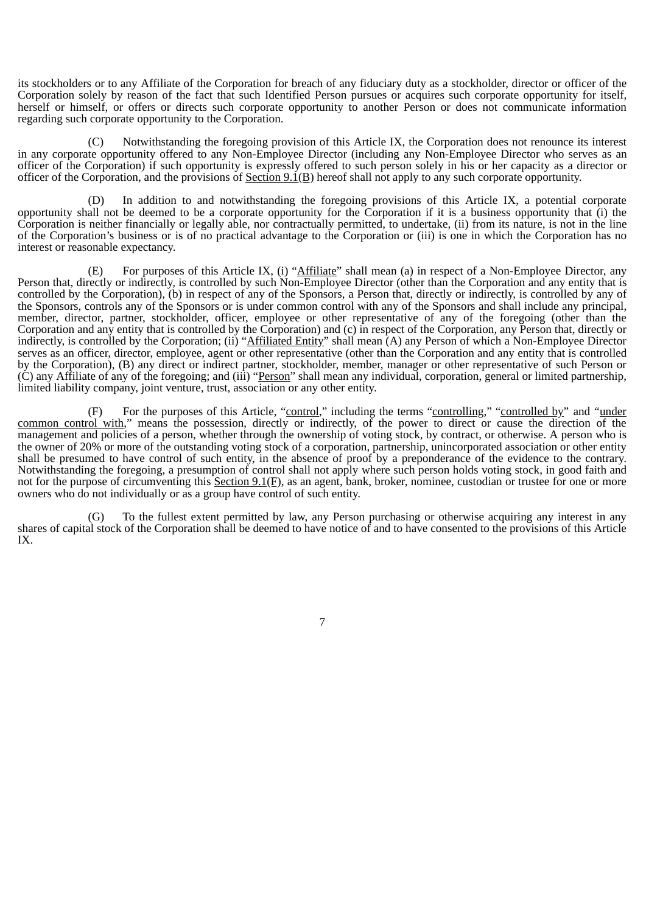its stockholders or to any Affiliate of the Corporation for breach of any fiduciary duty as a stockholder, director or officer of the Corporation solely by reason of the fact that such Identified Person pursues or acquires such corporate opportunity for itself, herself or himself, or offers or directs such corporate opportunity to another Person or does not communicate information regarding such corporate opportunity to the Corporation.

(C) Notwithstanding the foregoing provision of this Article IX, the Corporation does not renounce its interest in any corporate opportunity offered to any Non-Employee Director (including any Non-Employee Director who serves as an officer of the Corporation) if such opportunity is expressly offered to such person solely in his or her capacity as a director or officer of the Corporation, and the provisions of Section  $9.\underline{1}(\underline{B})$  hereof shall not apply to any such corporate opportunity.

(D) In addition to and notwithstanding the foregoing provisions of this Article IX, a potential corporate opportunity shall not be deemed to be a corporate opportunity for the Corporation if it is a business opportunity that  $(i)$  the Corporation is neither financially or legally able, nor contractually permitted, to undertake, (ii) from its nature, is not in the line of the Corporation's business or is of no practical advantage to the Corporation or (iii) is one in which the Corporation has no interest or reasonable expectancy.

(E) For purposes of this Article IX, (i) "Affiliate" shall mean (a) in respect of a Non-Employee Director, any Person that, directly or indirectly, is controlled by such Non-Employee Director (other than the Corporation and any entity that is controlled by the Corporation), (b) in respect of any of the Sponsors, a Person that, directly or indirectly, is controlled by any of the Sponsors, controls any of the Sponsors or is under common control with any of the Sponsors and shall include any principal, member, director, partner, stockholder, officer, employee or other representative of any of the foregoing (other than the Corporation and any entity that is controlled by the Corporation) and (c) in respect of the Corporation, any Person that, directly or indirectly, is controlled by the Corporation; (ii) "Affiliated Entity" shall mean (A) any Person of which a Non-Employee Director serves as an officer, director, employee, agent or other representative (other than the Corporation and any entity that is controlled by the Corporation), (B) any direct or indirect partner, stockholder, member, manager or other representative of such Person or (C) any Affiliate of any of the foregoing; and (iii) "Person" shall mean any individual, corporation, general or limited partnership, limited liability company, joint venture, trust, association or any other entity.

(F) For the purposes of this Article, "control," including the terms "controlling," "controlled by" and "under common control with," means the possession, directly or indirectly, of the power to direct or cause the direction of the management and policies of a person, whether through the ownership of voting stock, by contract, or otherwise. A person who is the owner of 20% or more of the outstanding voting stock of a corporation, partnership, unincorporated association or other entity shall be presumed to have control of such entity, in the absence of proof by a preponderance of the evidence to the contrary. Notwithstanding the foregoing, a presumption of control shall not apply where such person holds voting stock, in good faith and not for the purpose of circumventing this Section  $9.1(F)$ , as an agent, bank, broker, nominee, custodian or trustee for one or more owners who do not individually or as a group have control of such entity.

(G) To the fullest extent permitted by law, any Person purchasing or otherwise acquiring any interest in any shares of capital stock of the Corporation shall be deemed to have notice of and to have consented to the provisions of this Article IX.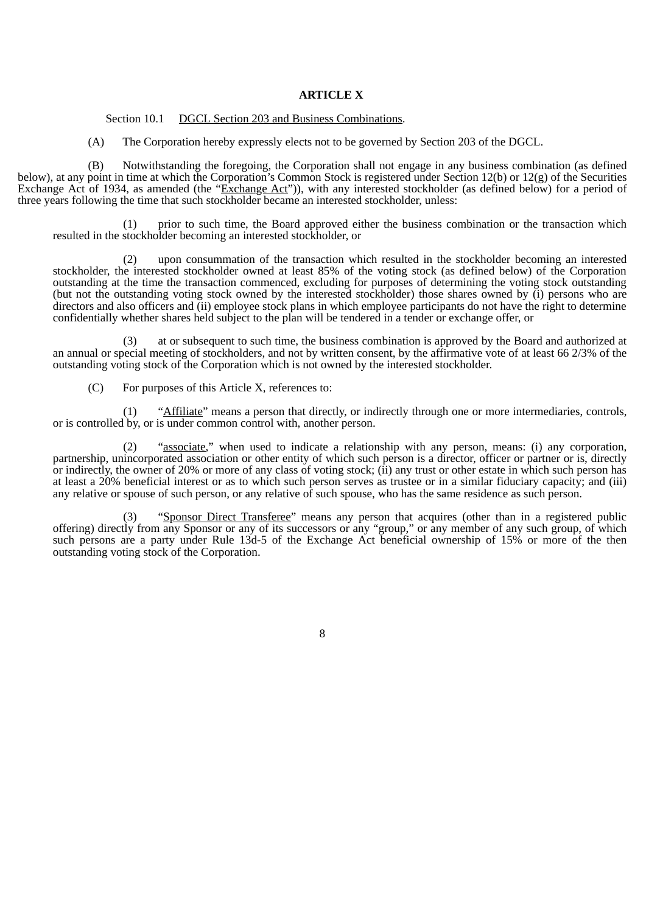# **ARTICLE X**

Section 10.1 DGCL Section 203 and Business Combinations.

(A) The Corporation hereby expressly elects not to be governed by Section 203 of the DGCL.

(B) Notwithstanding the foregoing, the Corporation shall not engage in any business combination (as defined below), at any point in time at which the Corporation's Common Stock is registered under Section 12(b) or 12(g) of the Securities Exchange Act of 1934, as amended (the "Exchange Act")), with any interested stockholder (as defined below) for a period of three years following the time that such stockholder became an interested stockholder, unless:

(1) prior to such time, the Board approved either the business combination or the transaction which resulted in the stockholder becoming an interested stockholder, or

(2) upon consummation of the transaction which resulted in the stockholder becoming an interested stockholder, the interested stockholder owned at least 85% of the voting stock (as defined below) of the Corporation outstanding at the time the transaction commenced, excluding for purposes of determining the voting stock outstanding (but not the outstanding voting stock owned by the interested stockholder) those shares owned by (i) persons who are directors and also officers and (ii) employee stock plans in which employee participants do not have the right to determine confidentially whether shares held subject to the plan will be tendered in a tender or exchange offer, or

(3) at or subsequent to such time, the business combination is approved by the Board and authorized at an annual or special meeting of stockholders, and not by written consent, by the affirmative vote of at least 66 2/3% of the outstanding voting stock of the Corporation which is not owned by the interested stockholder.

(C) For purposes of this Article X, references to:

(1) "Affiliate" means a person that directly, or indirectly through one or more intermediaries, controls, or is controlled by, or is under common control with, another person.

(2) "associate," when used to indicate a relationship with any person, means: (i) any corporation, partnership, unincorporated association or other entity of which such person is a director, officer or partner or is, directly or indirectly, the owner of 20% or more of any class of voting stock; (ii) any trust or other estate in which such person has at least a 20% beneficial interest or as to which such person serves as trustee or in a similar fiduciary capacity; and (iii) any relative or spouse of such person, or any relative of such spouse, who has the same residence as such person.

(3) "Sponsor Direct Transferee" means any person that acquires (other than in a registered public offering) directly from any Sponsor or any of its successors or any "group," or any member of any such group, of which such persons are a party under Rule 13d-5 of the Exchange Act beneficial ownership of 15% or more of the then outstanding voting stock of the Corporation.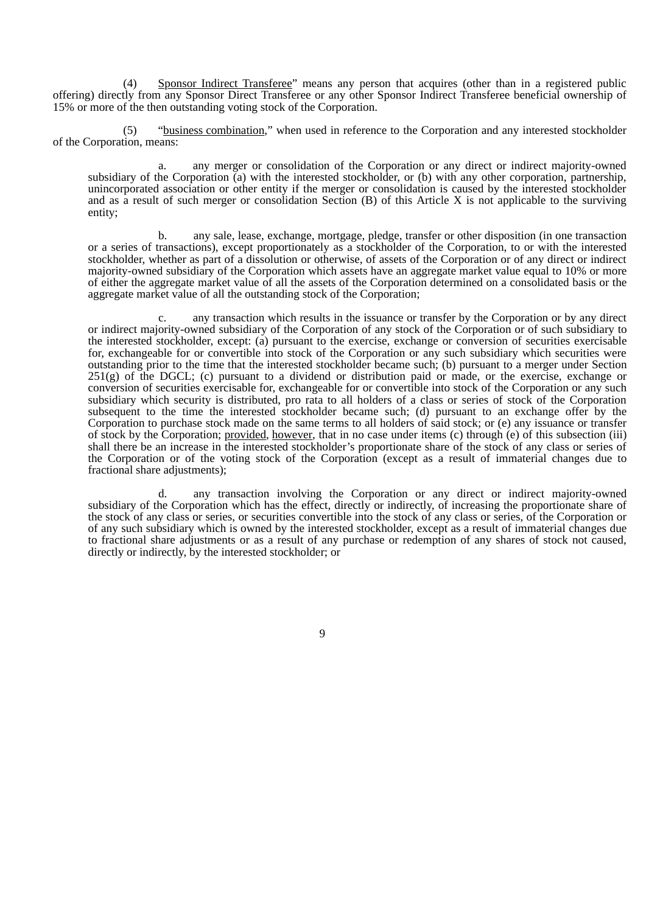(4) Sponsor Indirect Transferee" means any person that acquires (other than in a registered public offering) directly from any Sponsor Direct Transferee or any other Sponsor Indirect Transferee beneficial ownership of 15% or more of the then outstanding voting stock of the Corporation.

(5) "business combination," when used in reference to the Corporation and any interested stockholder of the Corporation, means:

a. any merger or consolidation of the Corporation or any direct or indirect majority-owned subsidiary of the Corporation (a) with the interested stockholder, or (b) with any other corporation, partnership, unincorporated association or other entity if the merger or consolidation is caused by the interested stockholder and as a result of such merger or consolidation Section  $(B)$  of this Article X is not applicable to the surviving entity;

b. any sale, lease, exchange, mortgage, pledge, transfer or other disposition (in one transaction or a series of transactions), except proportionately as a stockholder of the Corporation, to or with the interested stockholder, whether as part of a dissolution or otherwise, of assets of the Corporation or of any direct or indirect majority-owned subsidiary of the Corporation which assets have an aggregate market value equal to 10% or more of either the aggregate market value of all the assets of the Corporation determined on a consolidated basis or the aggregate market value of all the outstanding stock of the Corporation;

c. any transaction which results in the issuance or transfer by the Corporation or by any direct or indirect majority-owned subsidiary of the Corporation of any stock of the Corporation or of such subsidiary to the interested stockholder, except: (a) pursuant to the exercise, exchange or conversion of securities exercisable for, exchangeable for or convertible into stock of the Corporation or any such subsidiary which securities were outstanding prior to the time that the interested stockholder became such; (b) pursuant to a merger under Section  $251(g)$  of the DGCL; (c) pursuant to a dividend or distribution paid or made, or the exercise, exchange or conversion of securities exercisable for, exchangeable for or convertible into stock of the Corporation or any such subsidiary which security is distributed, pro rata to all holders of a class or series of stock of the Corporation subsequent to the time the interested stockholder became such; (d) pursuant to an exchange offer by the Corporation to purchase stock made on the same terms to all holders of said stock; or (e) any issuance or transfer of stock by the Corporation; provided, however, that in no case under items (c) through (e) of this subsection (iii) shall there be an increase in the interested stockholder's proportionate share of the stock of any class or series of the Corporation or of the voting stock of the Corporation (except as a result of immaterial changes due to fractional share adjustments);

d. any transaction involving the Corporation or any direct or indirect majority-owned subsidiary of the Corporation which has the effect, directly or indirectly, of increasing the proportionate share of the stock of any class or series, or securities convertible into the stock of any class or series, of the Corporation or of any such subsidiary which is owned by the interested stockholder, except as a result of immaterial changes due to fractional share adjustments or as a result of any purchase or redemption of any shares of stock not caused, directly or indirectly, by the interested stockholder; or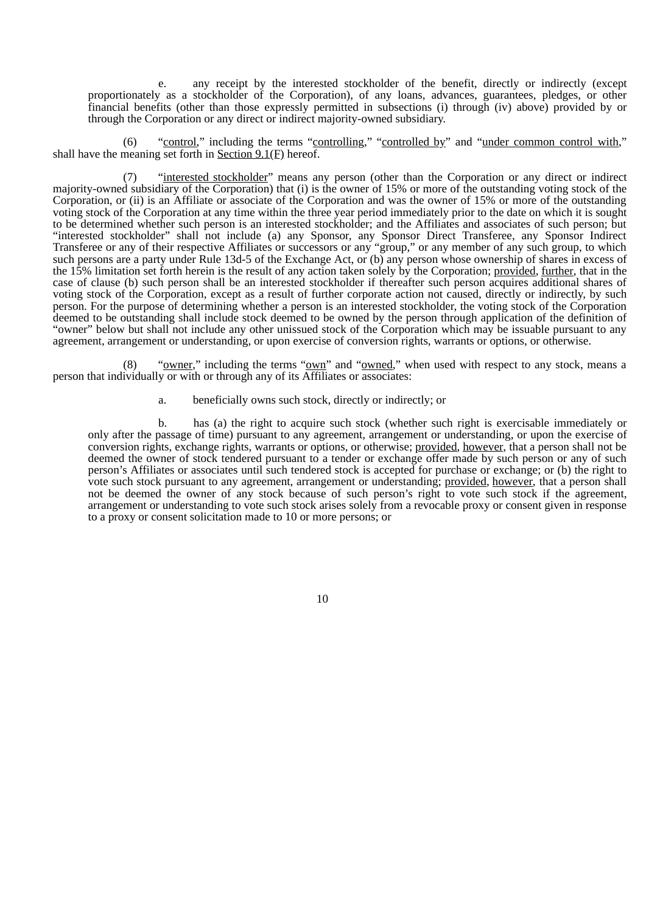e. any receipt by the interested stockholder of the benefit, directly or indirectly (except proportionately as a stockholder of the Corporation), of any loans, advances, guarantees, pledges, or other financial benefits (other than those expressly permitted in subsections (i) through (iv) above) provided by or through the Corporation or any direct or indirect majority-owned subsidiary.

"control," including the terms "controlling," "controlled by" and "under common control with," shall have the meaning set forth in Section  $9.1(E)$  hereof.

"interested stockholder" means any person (other than the Corporation or any direct or indirect majority-owned subsidiary of the Corporation) that (i) is the owner of 15% or more of the outstanding voting stock of the Corporation, or (ii) is an Affiliate or associate of the Corporation and was the owner of 15% or more of the outstanding voting stock of the Corporation at any time within the three year period immediately prior to the date on which it is sought to be determined whether such person is an interested stockholder; and the Affiliates and associates of such person; but "interested stockholder" shall not include (a) any Sponsor, any Sponsor Direct Transferee, any Sponsor Indirect Transferee or any of their respective Affiliates or successors or any "group," or any member of any such group, to which such persons are a party under Rule 13d-5 of the Exchange Act, or (b) any person whose ownership of shares in excess of the 15% limitation set forth herein is the result of any action taken solely by the Corporation; provided, further, that in the case of clause (b) such person shall be an interested stockholder if thereafter such person acquires additional shares of voting stock of the Corporation, except as a result of further corporate action not caused, directly or indirectly, by such person. For the purpose of determining whether a person is an interested stockholder, the voting stock of the Corporation deemed to be outstanding shall include stock deemed to be owned by the person through application of the definition of "owner" below but shall not include any other unissued stock of the Corporation which may be issuable pursuant to any agreement, arrangement or understanding, or upon exercise of conversion rights, warrants or options, or otherwise.

"owner," including the terms "own" and "owned," when used with respect to any stock, means a person that individually or with or through any of its Affiliates or associates:

a. beneficially owns such stock, directly or indirectly; or

b. has (a) the right to acquire such stock (whether such right is exercisable immediately or only after the passage of time) pursuant to any agreement, arrangement or understanding, or upon the exercise of conversion rights, exchange rights, warrants or options, or otherwise; provided, however, that a person shall not be deemed the owner of stock tendered pursuant to a tender or exchange offer made by such person or any of such person's Affiliates or associates until such tendered stock is accepted for purchase or exchange; or (b) the right to vote such stock pursuant to any agreement, arrangement or understanding; provided, however, that a person shall not be deemed the owner of any stock because of such person's right to vote such stock if the agreement, arrangement or understanding to vote such stock arises solely from a revocable proxy or consent given in response to a proxy or consent solicitation made to 10 or more persons; or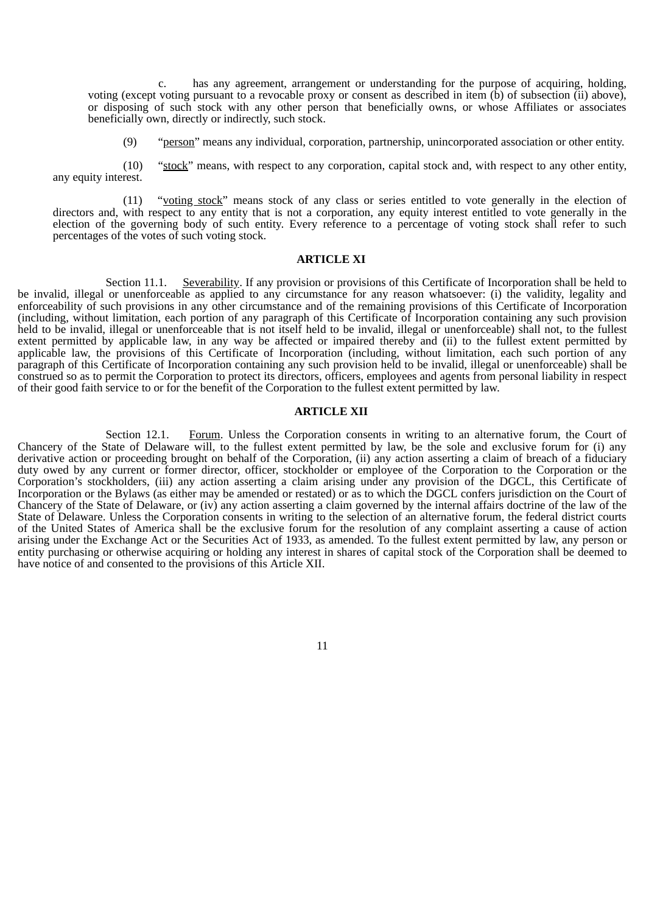c. has any agreement, arrangement or understanding for the purpose of acquiring, holding, voting (except voting pursuant to a revocable proxy or consent as described in item (b) of subsection (ii) above), or disposing of such stock with any other person that beneficially owns, or whose Affiliates or associates beneficially own, directly or indirectly, such stock.

(9) "person" means any individual, corporation, partnership, unincorporated association or other entity.

(10) "stock" means, with respect to any corporation, capital stock and, with respect to any other entity, any equity interest.

(11) "voting stock" means stock of any class or series entitled to vote generally in the election of directors and, with respect to any entity that is not a corporation, any equity interest entitled to vote generally in the election of the governing body of such entity. Every reference to a percentage of voting stock shall refer to such percentages of the votes of such voting stock.

#### **ARTICLE XI**

Section 11.1. Severability. If any provision or provisions of this Certificate of Incorporation shall be held to be invalid, illegal or unenforceable as applied to any circumstance for any reason whatsoever: (i) the validity, legality and enforceability of such provisions in any other circumstance and of the remaining provisions of this Certificate of Incorporation (including, without limitation, each portion of any paragraph of this Certificate of Incorporation containing any such provision held to be invalid, illegal or unenforceable that is not itself held to be invalid, illegal or unenforceable) shall not, to the fullest extent permitted by applicable law, in any way be affected or impaired thereby and (ii) to the fullest extent permitted by applicable law, the provisions of this Certificate of Incorporation (including, without limitation, each such portion of any paragraph of this Certificate of Incorporation containing any such provision held to be invalid, illegal or unenforceable) shall be construed so as to permit the Corporation to protect its directors, officers, employees and agents from personal liability in respect of their good faith service to or for the benefit of the Corporation to the fullest extent permitted by law.

# **ARTICLE XII**

Section 12.1. Forum. Unless the Corporation consents in writing to an alternative forum, the Court of Chancery of the State of Delaware will, to the fullest extent permitted by law, be the sole and exclusive forum for (i) any derivative action or proceeding brought on behalf of the Corporation, (ii) any action asserting a claim of breach of a fiduciary duty owed by any current or former director, officer, stockholder or employee of the Corporation to the Corporation or the Corporation's stockholders, (iii) any action asserting a claim arising under any provision of the DGCL, this Certificate of Incorporation or the Bylaws (as either may be amended or restated) or as to which the DGCL confers jurisdiction on the Court of Chancery of the State of Delaware, or (iv) any action asserting a claim governed by the internal affairs doctrine of the law of the State of Delaware. Unless the Corporation consents in writing to the selection of an alternative forum, the federal district courts of the United States of America shall be the exclusive forum for the resolution of any complaint asserting a cause of action arising under the Exchange Act or the Securities Act of 1933, as amended. To the fullest extent permitted by law, any person or entity purchasing or otherwise acquiring or holding any interest in shares of capital stock of the Corporation shall be deemed to have notice of and consented to the provisions of this Article XII.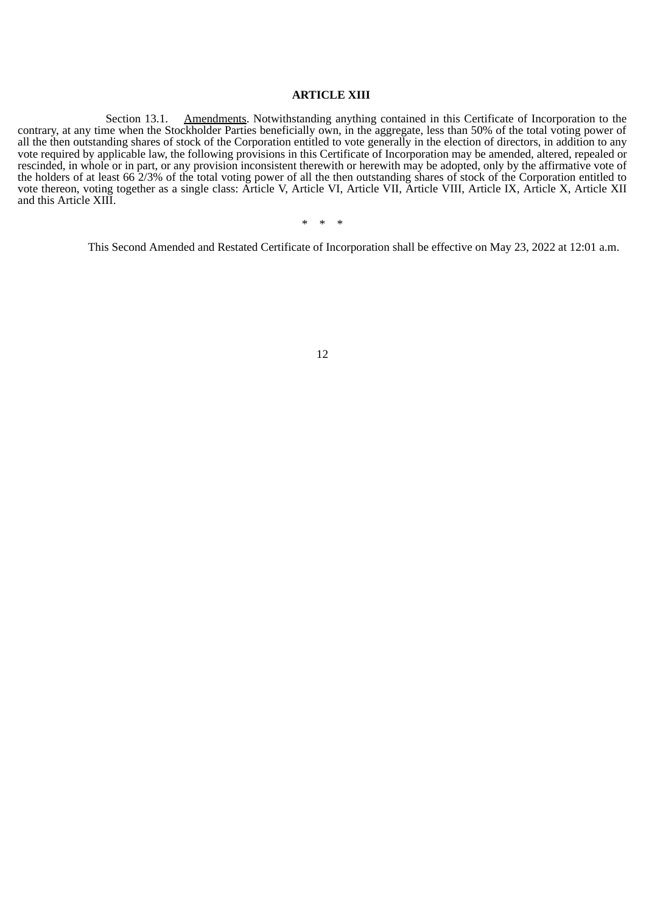### **ARTICLE XIII**

Section 13.1. Amendments. Notwithstanding anything contained in this Certificate of Incorporation to the contrary, at any time when the Stockholder Parties beneficially own, in the aggregate, less than 50% of the total voting power of all the then outstanding shares of stock of the Corporation entitled to vote generally in the election of directors, in addition to any vote required by applicable law, the following provisions in this Certificate of Incorporation may be amended, altered, repealed or rescinded, in whole or in part, or any provision inconsistent therewith or herewith may be adopted, only by the affirmative vote of the holders of at least 66 2/3% of the total voting power of all the then outstanding shares of stock of the Corporation entitled to vote thereon, voting together as a single class: Article V, Article VI, Article VII, Article VIII, Article IX, Article X, Article XII and this Article XIII.

\* \* \*

This Second Amended and Restated Certificate of Incorporation shall be effective on May 23, 2022 at 12:01 a.m.